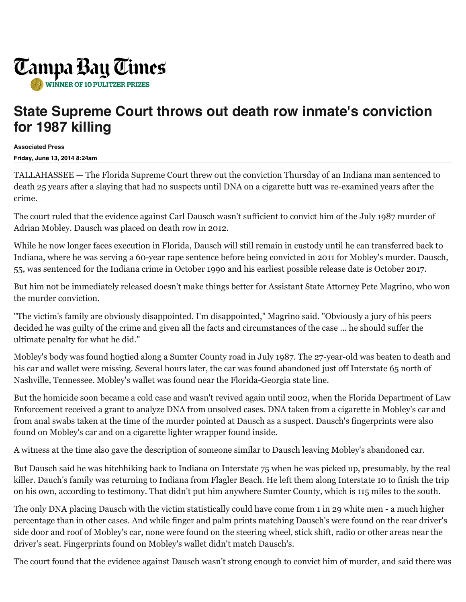

## **State Supreme Court throws out death row inmate's conviction for 1987 killing**

**Associated Press**

**Friday, June 13, 2014 8:24am**

TALLAHASSEE — The Florida Supreme Court threw out the conviction Thursday of an Indiana man sentenced to death 25 years after a slaying that had no suspects until DNA on a cigarette butt was re-examined years after the crime.

The court ruled that the evidence against Carl Dausch wasn't sufficient to convict him of the July 1987 murder of Adrian Mobley. Dausch was placed on death row in 2012.

While he now longer faces execution in Florida, Dausch will still remain in custody until he can transferred back to Indiana, where he was serving a 60-year rape sentence before being convicted in 2011 for Mobley's murder. Dausch, 55, was sentenced for the Indiana crime in October 1990 and his earliest possible release date is October 2017.

But him not be immediately released doesn't make things better for Assistant State Attorney Pete Magrino, who won the murder conviction.

"The victim's family are obviously disappointed. I'm disappointed," Magrino said. "Obviously a jury of his peers decided he was guilty of the crime and given all the facts and circumstances of the case … he should suffer the ultimate penalty for what he did."

Mobley's body was found hogtied along a Sumter County road in July 1987. The 27-year-old was beaten to death and his car and wallet were missing. Several hours later, the car was found abandoned just off Interstate 65 north of Nashville, Tennessee. Mobley's wallet was found near the Florida-Georgia state line.

But the homicide soon became a cold case and wasn't revived again until 2002, when the Florida Department of Law Enforcement received a grant to analyze DNA from unsolved cases. DNA taken from a cigarette in Mobley's car and from anal swabs taken at the time of the murder pointed at Dausch as a suspect. Dausch's fingerprints were also found on Mobley's car and on a cigarette lighter wrapper found inside.

A witness at the time also gave the description of someone similar to Dausch leaving Mobley's abandoned car.

But Dausch said he was hitchhiking back to Indiana on Interstate 75 when he was picked up, presumably, by the real killer. Dauch's family was returning to Indiana from Flagler Beach. He left them along Interstate 10 to finish the trip on his own, according to testimony. That didn't put him anywhere Sumter County, which is 115 miles to the south.

The only DNA placing Dausch with the victim statistically could have come from 1 in 29 white men - a much higher percentage than in other cases. And while finger and palm prints matching Dausch's were found on the rear driver's side door and roof of Mobley's car, none were found on the steering wheel, stick shift, radio or other areas near the driver's seat. Fingerprints found on Mobley's wallet didn't match Dausch's.

The court found that the evidence against Dausch wasn't strong enough to convict him of murder, and said there was